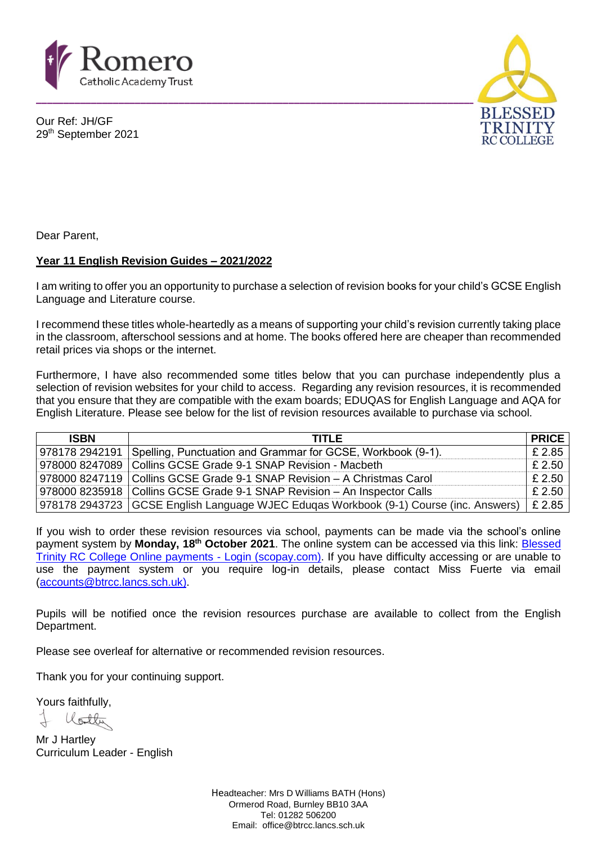

Our Ref: JH/GF 29th September 2021



Dear Parent,

## **Year 11 English Revision Guides – 2021/2022**

I am writing to offer you an opportunity to purchase a selection of revision books for your child's GCSE English Language and Literature course.

I recommend these titles whole-heartedly as a means of supporting your child's revision currently taking place in the classroom, afterschool sessions and at home. The books offered here are cheaper than recommended retail prices via shops or the internet.

Furthermore, I have also recommended some titles below that you can purchase independently plus a selection of revision websites for your child to access. Regarding any revision resources, it is recommended that you ensure that they are compatible with the exam boards; EDUQAS for English Language and AQA for English Literature. Please see below for the list of revision resources available to purchase via school.

| <b>ISBN</b> | <b>TITLE</b>                                                                                     | <b>PRICE</b> |
|-------------|--------------------------------------------------------------------------------------------------|--------------|
|             | 978178 2942191 Spelling, Punctuation and Grammar for GCSE, Workbook (9-1).                       | £2.85        |
|             | 978000 8247089   Collins GCSE Grade 9-1 SNAP Revision - Macbeth                                  | £ 2.50       |
|             | 978000 8247119   Collins GCSE Grade 9-1 SNAP Revision – A Christmas Carol                        | £ 2.50       |
|             | 978000 8235918   Collins GCSE Grade 9-1 SNAP Revision - An Inspector Calls                       | £ 2.50       |
|             | 978178 2943723   GCSE English Language WJEC Eduqas Workbook (9-1) Course (inc. Answers)   £ 2.85 |              |

If you wish to order these revision resources via school, payments can be made via the school's online payment system by **Monday, 18th October 2021**. The online system can be accessed via this link: [Blessed](https://www.scopay.com/blessedtrinityrccollege)  [Trinity RC College Online payments -](https://www.scopay.com/blessedtrinityrccollege) Login (scopay.com). If you have difficulty accessing or are unable to use the payment system or you require log-in details, please contact Miss Fuerte via email [\(accounts@btrcc.lancs.sch.uk\)](mailto:accounts@btrcc.lancs.sch.uk).

Pupils will be notified once the revision resources purchase are available to collect from the English Department.

Please see overleaf for alternative or recommended revision resources.

Thank you for your continuing support.

Yours faithfully,

llotti

Mr J Hartley Curriculum Leader - English

> Headteacher: Mrs D Williams BATH (Hons) Ormerod Road, Burnley BB10 3AA Tel: 01282 506200 Email: office@btrcc.lancs.sch.uk